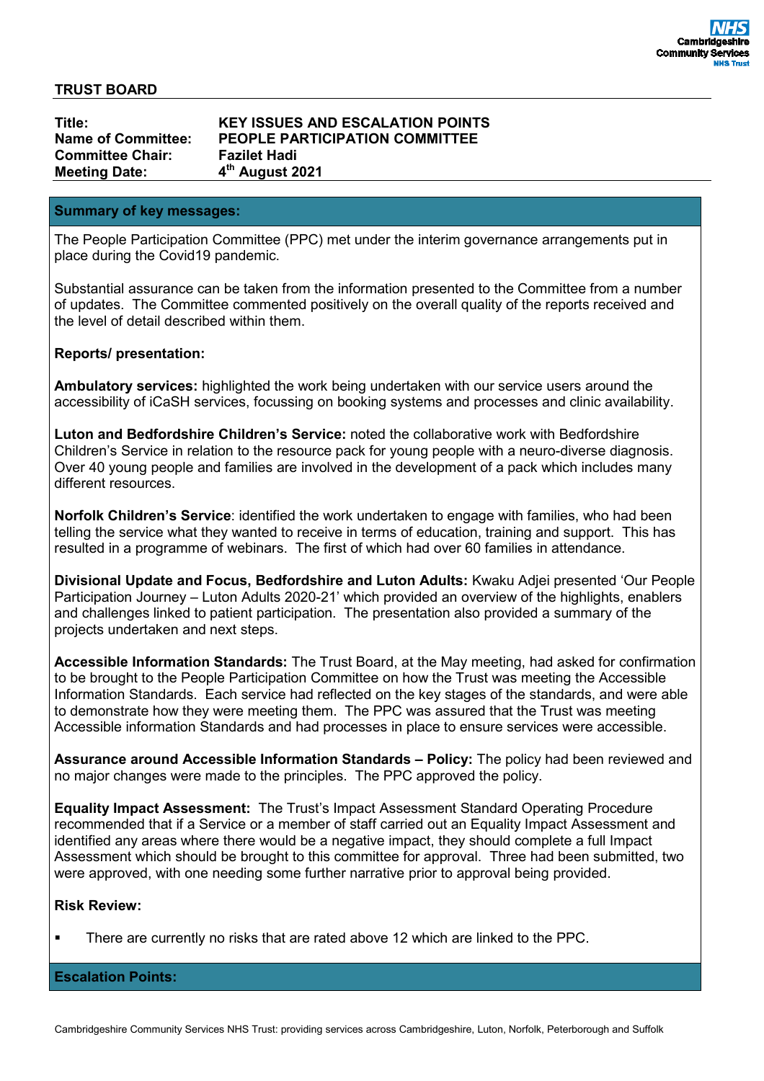### **TRUST BOARD**

**Committee Chair: Fazilet Hadi Meeting Date: 4**

**Title: KEY ISSUES AND ESCALATION POINTS Name of Committee: PEOPLE PARTICIPATION COMMITTEE th August 2021**

### **Summary of key messages:**

The People Participation Committee (PPC) met under the interim governance arrangements put in place during the Covid19 pandemic.

Substantial assurance can be taken from the information presented to the Committee from a number of updates. The Committee commented positively on the overall quality of the reports received and the level of detail described within them.

## **Reports/ presentation:**

**Ambulatory services:** highlighted the work being undertaken with our service users around the accessibility of iCaSH services, focussing on booking systems and processes and clinic availability.

**Luton and Bedfordshire Children's Service:** noted the collaborative work with Bedfordshire Children's Service in relation to the resource pack for young people with a neuro-diverse diagnosis. Over 40 young people and families are involved in the development of a pack which includes many different resources.

**Norfolk Children's Service**: identified the work undertaken to engage with families, who had been telling the service what they wanted to receive in terms of education, training and support. This has resulted in a programme of webinars. The first of which had over 60 families in attendance.

**Divisional Update and Focus, Bedfordshire and Luton Adults:** Kwaku Adjei presented 'Our People Participation Journey – Luton Adults 2020-21' which provided an overview of the highlights, enablers and challenges linked to patient participation. The presentation also provided a summary of the projects undertaken and next steps.

**Accessible Information Standards:** The Trust Board, at the May meeting, had asked for confirmation to be brought to the People Participation Committee on how the Trust was meeting the Accessible Information Standards. Each service had reflected on the key stages of the standards, and were able to demonstrate how they were meeting them. The PPC was assured that the Trust was meeting Accessible information Standards and had processes in place to ensure services were accessible.

**Assurance around Accessible Information Standards – Policy:** The policy had been reviewed and no major changes were made to the principles. The PPC approved the policy.

**Equality Impact Assessment:** The Trust's Impact Assessment Standard Operating Procedure recommended that if a Service or a member of staff carried out an Equality Impact Assessment and identified any areas where there would be a negative impact, they should complete a full Impact Assessment which should be brought to this committee for approval. Three had been submitted, two were approved, with one needing some further narrative prior to approval being provided.

## **Risk Review:**

There are currently no risks that are rated above 12 which are linked to the PPC.

**Escalation Points:**